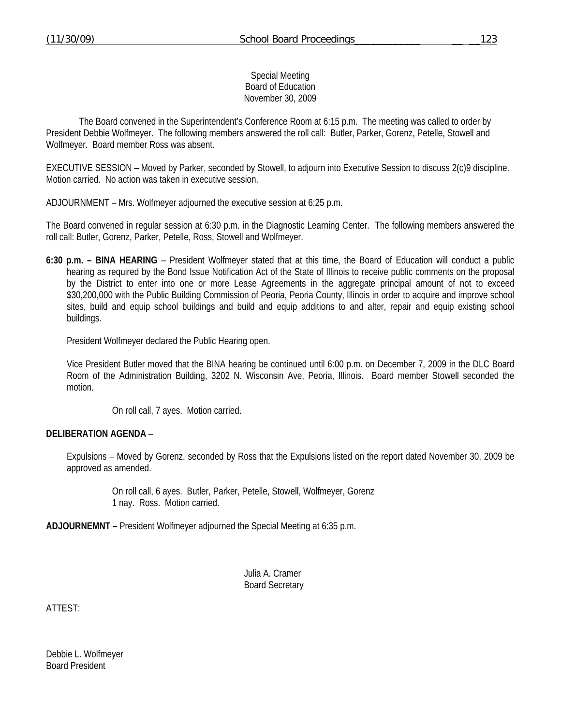## Special Meeting Board of Education November 30, 2009

 The Board convened in the Superintendent's Conference Room at 6:15 p.m. The meeting was called to order by President Debbie Wolfmeyer. The following members answered the roll call: Butler, Parker, Gorenz, Petelle, Stowell and Wolfmeyer. Board member Ross was absent.

EXECUTIVE SESSION – Moved by Parker, seconded by Stowell, to adjourn into Executive Session to discuss 2(c)9 discipline. Motion carried. No action was taken in executive session.

ADJOURNMENT – Mrs. Wolfmeyer adjourned the executive session at 6:25 p.m.

The Board convened in regular session at 6:30 p.m. in the Diagnostic Learning Center. The following members answered the roll call: Butler, Gorenz, Parker, Petelle, Ross, Stowell and Wolfmeyer.

**6:30 p.m. – BINA HEARING** – President Wolfmeyer stated that at this time, the Board of Education will conduct a public hearing as required by the Bond Issue Notification Act of the State of Illinois to receive public comments on the proposal by the District to enter into one or more Lease Agreements in the aggregate principal amount of not to exceed \$30,200,000 with the Public Building Commission of Peoria, Peoria County, Illinois in order to acquire and improve school sites, build and equip school buildings and build and equip additions to and alter, repair and equip existing school buildings.

President Wolfmeyer declared the Public Hearing open.

Vice President Butler moved that the BINA hearing be continued until 6:00 p.m. on December 7, 2009 in the DLC Board Room of the Administration Building, 3202 N. Wisconsin Ave, Peoria, Illinois. Board member Stowell seconded the motion.

On roll call, 7 ayes. Motion carried.

## **DELIBERATION AGENDA** –

Expulsions – Moved by Gorenz, seconded by Ross that the Expulsions listed on the report dated November 30, 2009 be approved as amended.

 On roll call, 6 ayes. Butler, Parker, Petelle, Stowell, Wolfmeyer, Gorenz 1 nay. Ross. Motion carried.

**ADJOURNEMNT –** President Wolfmeyer adjourned the Special Meeting at 6:35 p.m.

 Julia A. Cramer Board Secretary

ATTEST:

Debbie L. Wolfmeyer Board President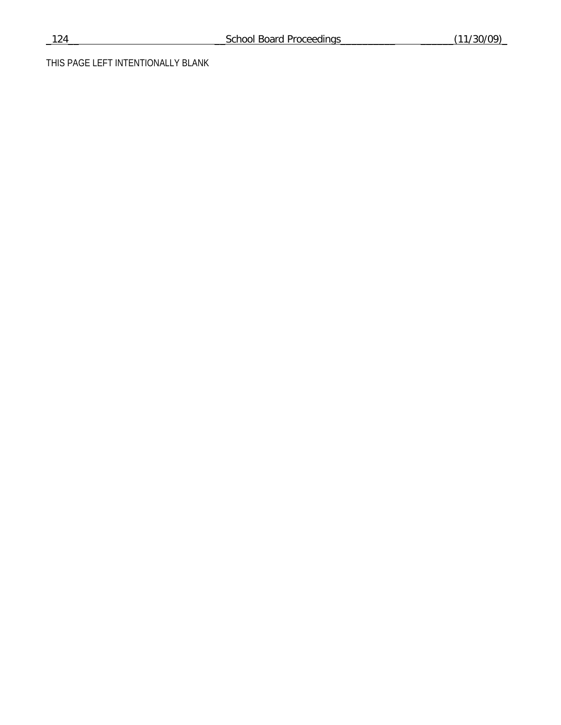THIS PAGE LEFT INTENTIONALLY BLANK